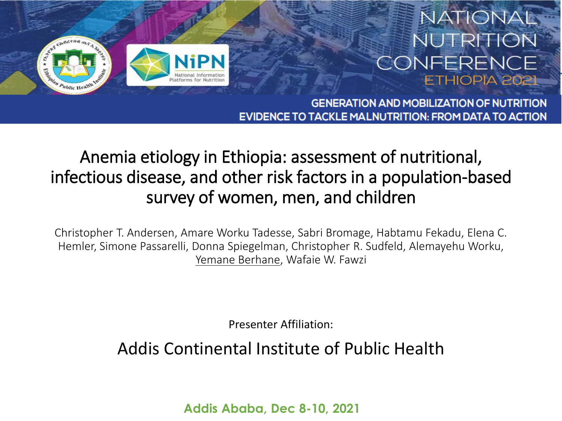#### NATIONAL NUTRITION CONFERENCE ETHIOPIA 202



**GENERATION AND MOBILIZATION OF NUTRITION** EVIDENCE TO TACKLE MALNUTRITION: FROM DATA TO ACTION

#### Anemia etiology in Ethiopia: assessment of nutritional, infectious disease, and other risk factors in a population-based survey of women, men, and children

Christopher T. Andersen, Amare Worku Tadesse, Sabri Bromage, Habtamu Fekadu, Elena C. Hemler, Simone Passarelli, Donna Spiegelman, Christopher R. Sudfeld, Alemayehu Worku, Yemane Berhane, Wafaie W. Fawzi

Presenter Affiliation:

Addis Continental Institute of Public Health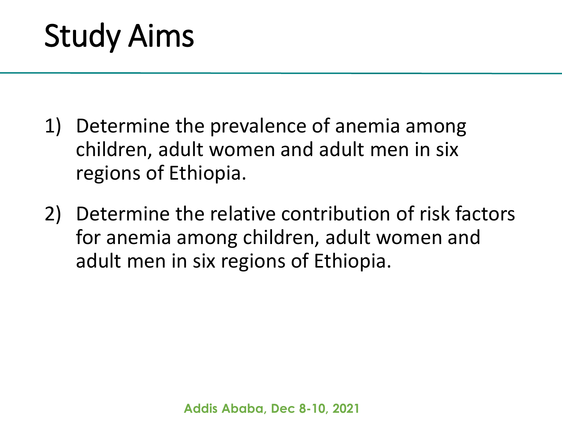- 1) Determine the prevalence of anemia among children, adult women and adult men in six regions of Ethiopia.
- 2) Determine the relative contribution of risk factors for anemia among children, adult women and adult men in six regions of Ethiopia.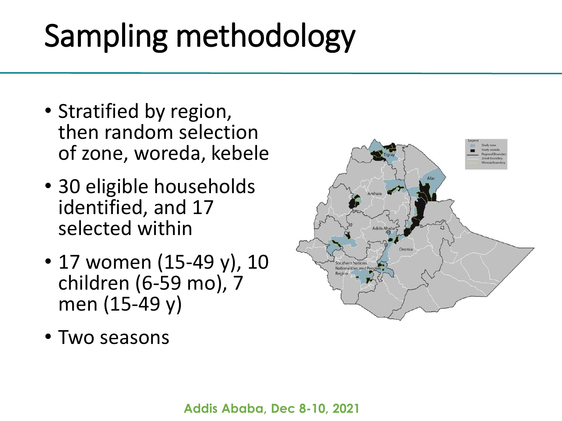# Sampling methodology

- Stratified by region, then random selection of zone, woreda, kebele
- 30 eligible households identified, and 17 selected within
- 17 women (15-49 y), 10 children (6-59 mo), 7 men (15-49 y)
- Two seasons

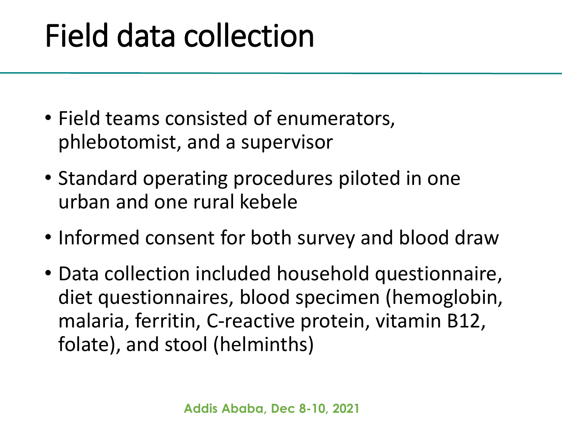### Field data collection

- Field teams consisted of enumerators, phlebotomist, and a supervisor
- Standard operating procedures piloted in one urban and one rural kebele
- Informed consent for both survey and blood draw
- Data collection included household questionnaire, diet questionnaires, blood specimen (hemoglobin, malaria, ferritin, C-reactive protein, vitamin B12, folate), and stool (helminths)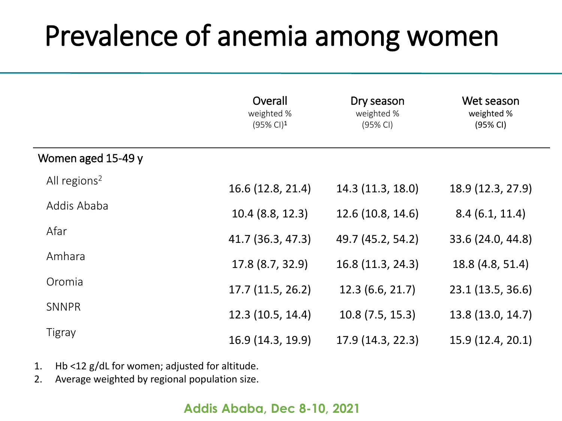#### Prevalence of anemia among women

|                          | Overall<br>weighted %<br>$(95\% \text{ Cl})^1$ | Dry season<br>weighted %<br>(95% CI) | Wet season<br>weighted %<br>(95% CI) |
|--------------------------|------------------------------------------------|--------------------------------------|--------------------------------------|
| Women aged 15-49 y       |                                                |                                      |                                      |
| All regions <sup>2</sup> | 16.6 (12.8, 21.4)                              | 14.3 (11.3, 18.0)                    | 18.9 (12.3, 27.9)                    |
| Addis Ababa              | $10.4$ (8.8, 12.3)                             | 12.6(10.8, 14.6)                     | 8.4(6.1, 11.4)                       |
| Afar                     | 41.7 (36.3, 47.3)                              | 49.7 (45.2, 54.2)                    | 33.6 (24.0, 44.8)                    |
| Amhara                   | 17.8 (8.7, 32.9)                               | 16.8 (11.3, 24.3)                    | 18.8 (4.8, 51.4)                     |
| Oromia                   | 17.7(11.5, 26.2)                               | 12.3(6.6, 21.7)                      | 23.1 (13.5, 36.6)                    |
| <b>SNNPR</b>             | 12.3 (10.5, 14.4)                              | 10.8(7.5, 15.3)                      | 13.8 (13.0, 14.7)                    |
| Tigray                   | 16.9 (14.3, 19.9)                              | 17.9(14.3, 22.3)                     | 15.9 (12.4, 20.1)                    |

- 1. Hb <12 g/dL for women; adjusted for altitude.
- 2. Average weighted by regional population size.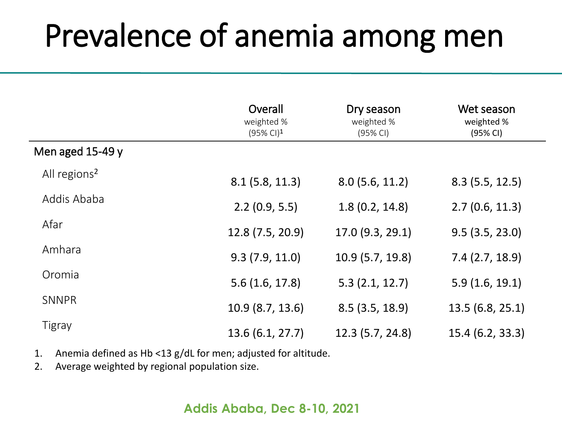### Prevalence of anemia among men

|                          | Overall<br>weighted %<br>$(95\% \text{ Cl})^1$ | Dry season<br>weighted %<br>(95% CI) | Wet season<br>weighted %<br>(95% CI) |
|--------------------------|------------------------------------------------|--------------------------------------|--------------------------------------|
| Men aged $15-49y$        |                                                |                                      |                                      |
| All regions <sup>2</sup> | 8.1(5.8, 11.3)                                 | 8.0(5.6, 11.2)                       | 8.3(5.5, 12.5)                       |
| Addis Ababa              | 2.2(0.9, 5.5)                                  | 1.8(0.2, 14.8)                       | 2.7(0.6, 11.3)                       |
| Afar                     | 12.8 (7.5, 20.9)                               | 17.0 (9.3, 29.1)                     | 9.5(3.5, 23.0)                       |
| Amhara                   | 9.3(7.9, 11.0)                                 | 10.9(5.7, 19.8)                      | 7.4(2.7, 18.9)                       |
| Oromia                   | 5.6(1.6, 17.8)                                 | 5.3(2.1, 12.7)                       | 5.9(1.6, 19.1)                       |
| <b>SNNPR</b>             | 10.9 (8.7, 13.6)                               | 8.5(3.5, 18.9)                       | 13.5(6.8, 25.1)                      |
| <b>Tigray</b>            | 13.6 (6.1, 27.7)                               | 12.3(5.7, 24.8)                      | 15.4(6.2, 33.3)                      |

- 1. Anemia defined as Hb <13 g/dL for men; adjusted for altitude.
- 2. Average weighted by regional population size.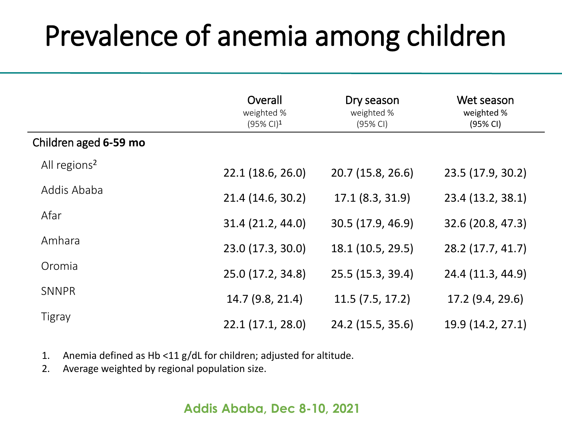### Prevalence of anemia among children

|                          | Overall<br>weighted %<br>$(95\% \text{ Cl})^1$ | Dry season<br>weighted %<br>(95% CI) | Wet season<br>weighted %<br>(95% CI) |
|--------------------------|------------------------------------------------|--------------------------------------|--------------------------------------|
| Children aged 6-59 mo    |                                                |                                      |                                      |
| All regions <sup>2</sup> | 22.1(18.6, 26.0)                               | 20.7 (15.8, 26.6)                    | 23.5 (17.9, 30.2)                    |
| Addis Ababa              | 21.4 (14.6, 30.2)                              | 17.1(8.3, 31.9)                      | 23.4 (13.2, 38.1)                    |
| Afar                     | 31.4 (21.2, 44.0)                              | 30.5 (17.9, 46.9)                    | 32.6 (20.8, 47.3)                    |
| Amhara                   | 23.0 (17.3, 30.0)                              | 18.1 (10.5, 29.5)                    | 28.2 (17.7, 41.7)                    |
| Oromia                   | 25.0 (17.2, 34.8)                              | 25.5 (15.3, 39.4)                    | 24.4 (11.3, 44.9)                    |
| <b>SNNPR</b>             | 14.7 (9.8, 21.4)                               | 11.5(7.5, 17.2)                      | 17.2 (9.4, 29.6)                     |
| <b>Tigray</b>            | 22.1(17.1, 28.0)                               | 24.2 (15.5, 35.6)                    | 19.9 (14.2, 27.1)                    |

1. Anemia defined as Hb <11 g/dL for children; adjusted for altitude.

2. Average weighted by regional population size.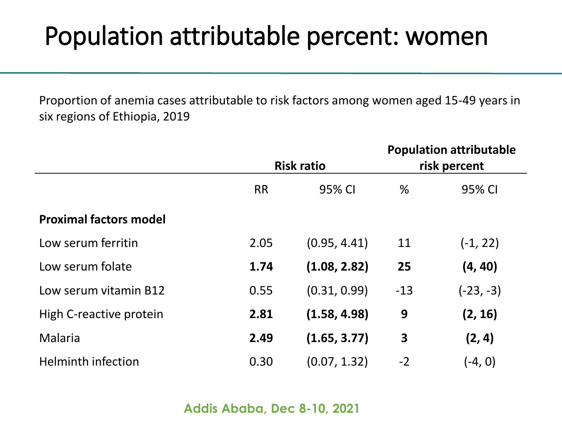#### Population attributable percent: women

Proportion of anemia cases attributable to risk factors among women aged 15-49 years in six regions of Ethiopia, 2019

|                               | <b>Risk ratio</b> |              | <b>Population attributable</b><br>risk percent |             |
|-------------------------------|-------------------|--------------|------------------------------------------------|-------------|
|                               |                   |              |                                                |             |
|                               | <b>RR</b>         | 95% CI       | %                                              | 95% CI      |
| <b>Proximal factors model</b> |                   |              |                                                |             |
| Low serum ferritin            | 2.05              | (0.95, 4.41) | 11                                             | $(-1, 22)$  |
| Low serum folate              | 1.74              | (1.08, 2.82) | 25                                             | (4, 40)     |
| Low serum vitamin B12         | 0.55              | (0.31, 0.99) | $-13$                                          | $(-23, -3)$ |
| High C-reactive protein       | 2.81              | (1.58, 4.98) | 9                                              | (2, 16)     |
| Malaria                       | 2.49              | (1.65, 3.77) | $\overline{\mathbf{3}}$                        | (2, 4)      |
| <b>Helminth infection</b>     | 0.30              | (0.07, 1.32) | $-2$                                           | $(-4, 0)$   |

```
Addis Ababa, Dec 8-10, 2021
```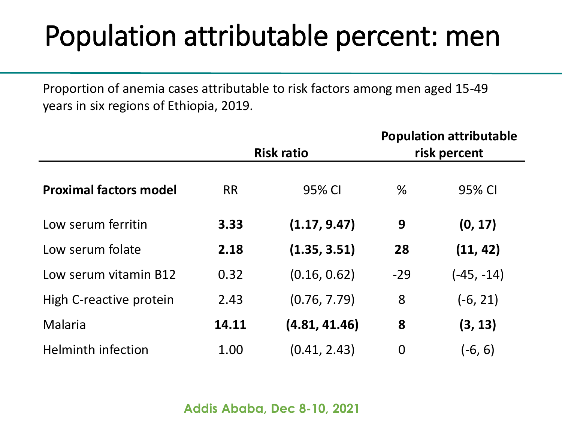### Population attributable percent: men

Proportion of anemia cases attributable to risk factors among men aged 15-49 years in six regions of Ethiopia, 2019.

|                               | <b>Risk ratio</b> |               | <b>Population attributable</b><br>risk percent |              |
|-------------------------------|-------------------|---------------|------------------------------------------------|--------------|
| <b>Proximal factors model</b> | <b>RR</b>         | 95% CI        | %                                              | 95% CI       |
| Low serum ferritin            | 3.33              | (1.17, 9.47)  | 9                                              | (0, 17)      |
| Low serum folate              | 2.18              | (1.35, 3.51)  | 28                                             | (11, 42)     |
| Low serum vitamin B12         | 0.32              | (0.16, 0.62)  | $-29$                                          | $(-45, -14)$ |
| High C-reactive protein       | 2.43              | (0.76, 7.79)  | 8                                              | $(-6, 21)$   |
| Malaria                       | 14.11             | (4.81, 41.46) | 8                                              | (3, 13)      |
| <b>Helminth infection</b>     | 1.00              | (0.41, 2.43)  | $\overline{0}$                                 | (-6, 6)      |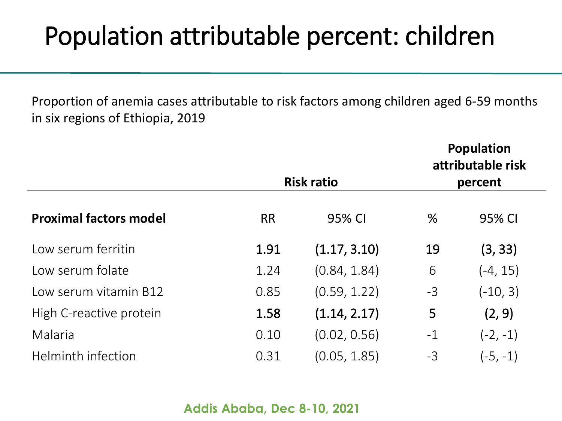#### Population attributable percent: children

Proportion of anemia cases attributable to risk factors among children aged 6-59 months in six regions of Ethiopia, 2019

**Population** 

|                               | <b>Risk ratio</b> |              | Population<br>attributable risk<br>percent |            |
|-------------------------------|-------------------|--------------|--------------------------------------------|------------|
| <b>Proximal factors model</b> | <b>RR</b>         | 95% CI       | $\%$                                       | 95% CI     |
| Low serum ferritin            | 1.91              | (1.17, 3.10) | 19                                         | (3, 33)    |
| Low serum folate              | 1.24              | (0.84, 1.84) | 6                                          | $(-4, 15)$ |
| Low serum vitamin B12         | 0.85              | (0.59, 1.22) | $-3$                                       | $(-10, 3)$ |
| High C-reactive protein       | 1.58              | (1.14, 2.17) | 5                                          | (2, 9)     |
| Malaria                       | 0.10              | (0.02, 0.56) | $-1$                                       | $(-2, -1)$ |
| Helminth infection            | 0.31              | (0.05, 1.85) | $-3$                                       | $(-5, -1)$ |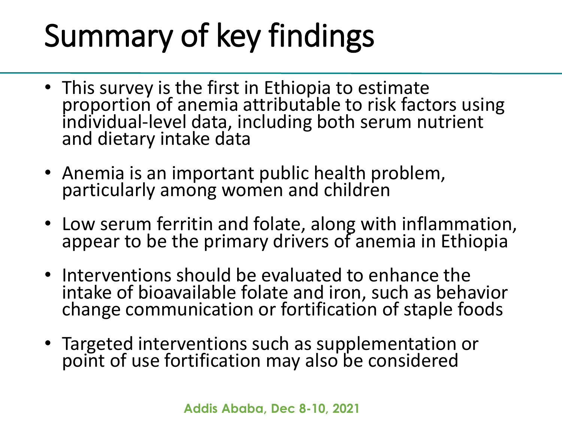# Summary of key findings

- This survey is the first in Ethiopia to estimate proportion of anemia attributable to risk factors using individual-level data, including both serum nutrient and dietary intake data
- Anemia is an important public health problem, particularly among women and children
- Low serum ferritin and folate, along with inflammation, appear to be the primary drivers of anemia in Ethiopia
- Interventions should be evaluated to enhance the intake of bioavailable folate and iron, such as behavior change communication or fortification of staple foods
- Targeted interventions such as supplementation or point of use fortification may also be considered